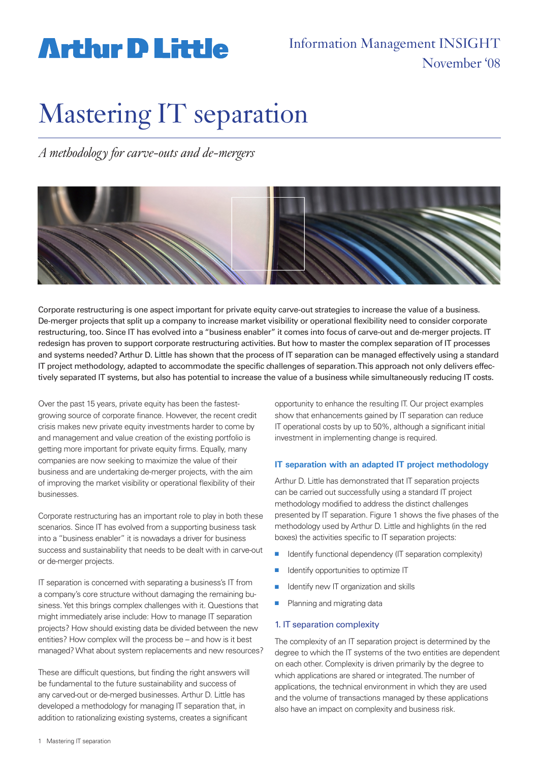## **Arthir D Little**

### Information Management INSIGHT November '08

# Mastering IT separation

*A methodology for carve-outs and de-mergers* 



Corporate restructuring is one aspect important for private equity carve-out strategies to increase the value of a business. De-merger projects that split up a company to increase market visibility or operational flexibility need to consider corporate restructuring, too. Since IT has evolved into a "business enabler" it comes into focus of carve-out and de-merger projects. IT redesign has proven to support corporate restructuring activities. But how to master the complex separation of IT processes and systems needed? Arthur D. Little has shown that the process of IT separation can be managed effectively using a standard IT project methodology, adapted to accommodate the specific challenges of separation. This approach not only delivers effectively separated IT systems, but also has potential to increase the value of a business while simultaneously reducing IT costs.

Over the past 15 years, private equity has been the fastestgrowing source of corporate finance. However, the recent credit crisis makes new private equity investments harder to come by and management and value creation of the existing portfolio is getting more important for private equity firms. Equally, many companies are now seeking to maximize the value of their business and are undertaking de-merger projects, with the aim of improving the market visibility or operational flexibility of their businesses.

Corporate restructuring has an important role to play in both these scenarios. Since IT has evolved from a supporting business task into a "business enabler" it is nowadays a driver for business success and sustainability that needs to be dealt with in carve-out or de-merger projects.

IT separation is concerned with separating a business's IT from a company's core structure without damaging the remaining business. Yet this brings complex challenges with it. Questions that might immediately arise include: How to manage IT separation projects? How should existing data be divided between the new entities? How complex will the process be – and how is it best managed? What about system replacements and new resources?

These are difficult questions, but finding the right answers will be fundamental to the future sustainability and success of any carved-out or de-merged businesses. Arthur D. Little has developed a methodology for managing IT separation that, in addition to rationalizing existing systems, creates a significant

opportunity to enhance the resulting IT. Our project examples show that enhancements gained by IT separation can reduce IT operational costs by up to 50%, although a significant initial investment in implementing change is required.

#### **IT separation with an adapted IT project methodology**

Arthur D. Little has demonstrated that IT separation projects can be carried out successfully using a standard IT project methodology modified to address the distinct challenges presented by IT separation. Figure 1 shows the five phases of the methodology used by Arthur D. Little and highlights (in the red boxes) the activities specific to IT separation projects:

- Identify functional dependency (IT separation complexity)
- $\blacksquare$  Identify opportunities to optimize IT
- Identify new IT organization and skills
- Planning and migrating data

#### 1. IT separation complexity

The complexity of an IT separation project is determined by the degree to which the IT systems of the two entities are dependent on each other. Complexity is driven primarily by the degree to which applications are shared or integrated. The number of applications, the technical environment in which they are used and the volume of transactions managed by these applications also have an impact on complexity and business risk.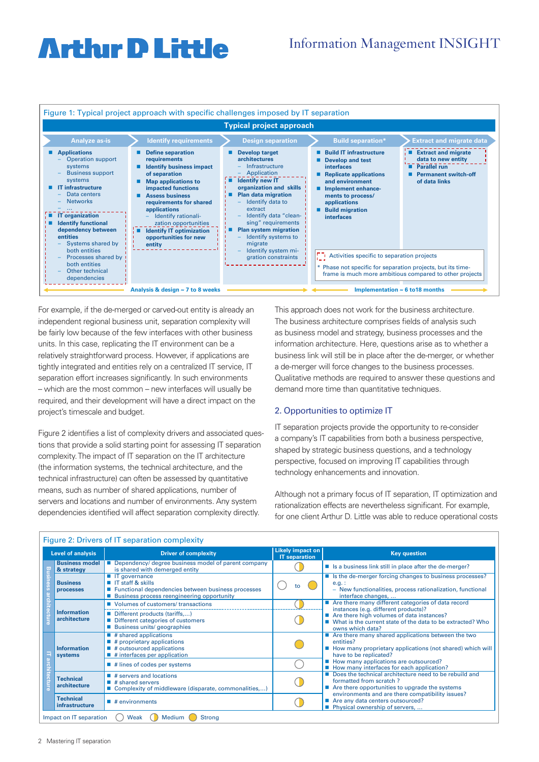## **Arthır D Little**



For example, if the de-merged or carved-out entity is already an independent regional business unit, separation complexity will be fairly low because of the few interfaces with other business units. In this case, replicating the IT environment can be a relatively straightforward process. However, if applications are tightly integrated and entities rely on a centralized IT service, IT separation effort increases significantly. In such environments – which are the most common – new interfaces will usually be required, and their development will have a direct impact on the project's timescale and budget.

Figure 2 identifies a list of complexity drivers and associated questions that provide a solid starting point for assessing IT separation complexity. The impact of IT separation on the IT architecture (the information systems, the technical architecture, and the **Fig2** technical infrastructure) can often be assessed by quantitative means, such as number of shared applications, number of servers and locations and number of environments. Any system dependencies identified will affect separation complexity directly.

This approach does not work for the business architecture. The business architecture comprises fields of analysis such as business model and strategy, business processes and the information architecture. Here, questions arise as to whether a business link will still be in place after the de-merger, or whether a de-merger will force changes to the business processes. Qualitative methods are required to answer these questions and demand more time than quantitative techniques.

#### 2. Opportunities to optimize IT

IT separation projects provide the opportunity to re-consider a company's IT capabilities from both a business perspective, shaped by strategic business questions, and a technology perspective, focused on improving IT capabilities through technology enhancements and innovation.

Although not a primary focus of IT separation, IT optimization and rationalization effects are nevertheless significant. For example, for one client Arthur D. Little was able to reduce operational costs

| Figure 2: Drivers of IT separation complexity              |                                     |                                                                                                                                                                              |                                                 |                                                                                                                                                                                                                                                                                                                                                                                                                                                                                                                                                                                                                                                                                                                                                                                                                                                                                                                                      |
|------------------------------------------------------------|-------------------------------------|------------------------------------------------------------------------------------------------------------------------------------------------------------------------------|-------------------------------------------------|--------------------------------------------------------------------------------------------------------------------------------------------------------------------------------------------------------------------------------------------------------------------------------------------------------------------------------------------------------------------------------------------------------------------------------------------------------------------------------------------------------------------------------------------------------------------------------------------------------------------------------------------------------------------------------------------------------------------------------------------------------------------------------------------------------------------------------------------------------------------------------------------------------------------------------------|
|                                                            | <b>Level of analysis</b>            | <b>Driver of complexity</b>                                                                                                                                                  | <b>Likely impact on</b><br><b>IT</b> separation | <b>Key question</b>                                                                                                                                                                                                                                                                                                                                                                                                                                                                                                                                                                                                                                                                                                                                                                                                                                                                                                                  |
|                                                            | <b>Business model</b><br>& strategy | Dependency/ degree business model of parent company<br>is shared with demerged entity                                                                                        |                                                 | ■ Is a business link still in place after the de-merger?                                                                                                                                                                                                                                                                                                                                                                                                                                                                                                                                                                                                                                                                                                                                                                                                                                                                             |
|                                                            | <b>Business</b><br>processes        | $\blacksquare$ IT governance<br>■ IT staff & skills<br>■ Functional dependencies between business processes<br>■ Business process reengineering opportunity                  | tο                                              | ■ Is the de-merger forcing changes to business processes?<br>$e.g.$ :<br>- New functionalities, process rationalization, functional<br>interface changes,<br>■ Are there many different categories of data record<br>instances (e.g. different products)?<br>■ Are there high volumes of data instances?<br>■ What is the current state of the data to be extracted? Who<br>owns which data?<br>$\blacksquare$ Are there many shared applications between the two<br>entities?<br>How many proprietary applications (not shared) which will<br>have to be replicated?<br>How many applications are outsourced?<br>How many interfaces for each application?<br>■ Does the technical architecture need to be rebuild and<br>formatted from scratch?<br>■ Are there opportunities to upgrade the systems<br>environments and are there compatibility issues?<br>■ Are any data centers outsourced?<br>■ Physical ownership of servers, |
|                                                            | <b>Information</b><br>architecture  | ■ Volumes of customers/ transactions                                                                                                                                         |                                                 |                                                                                                                                                                                                                                                                                                                                                                                                                                                                                                                                                                                                                                                                                                                                                                                                                                                                                                                                      |
|                                                            |                                     | Different products (tariffs,)<br>Different categories of customers<br>■ Business units/ geographies                                                                          |                                                 |                                                                                                                                                                                                                                                                                                                                                                                                                                                                                                                                                                                                                                                                                                                                                                                                                                                                                                                                      |
|                                                            | <b>Information</b><br>systems       | $\blacksquare$ # shared applications<br>$\blacksquare$ # proprietary applications<br>$\blacksquare$ # outsourced applications<br>$\blacksquare$ # interfaces per application |                                                 |                                                                                                                                                                                                                                                                                                                                                                                                                                                                                                                                                                                                                                                                                                                                                                                                                                                                                                                                      |
|                                                            |                                     | $\blacksquare$ # lines of codes per systems                                                                                                                                  |                                                 |                                                                                                                                                                                                                                                                                                                                                                                                                                                                                                                                                                                                                                                                                                                                                                                                                                                                                                                                      |
|                                                            | <b>Technical</b><br>architecture    | $\blacksquare$ # servers and locations<br>$\blacksquare$ # shared servers<br>■ Complexity of middleware (disparate, commonalities,)                                          |                                                 |                                                                                                                                                                                                                                                                                                                                                                                                                                                                                                                                                                                                                                                                                                                                                                                                                                                                                                                                      |
|                                                            | <b>Technical</b><br>infrastructure  | $\blacksquare$ # environments                                                                                                                                                |                                                 |                                                                                                                                                                                                                                                                                                                                                                                                                                                                                                                                                                                                                                                                                                                                                                                                                                                                                                                                      |
| Medium<br>Impact on IT separation<br>Weak<br><b>Strong</b> |                                     |                                                                                                                                                                              |                                                 |                                                                                                                                                                                                                                                                                                                                                                                                                                                                                                                                                                                                                                                                                                                                                                                                                                                                                                                                      |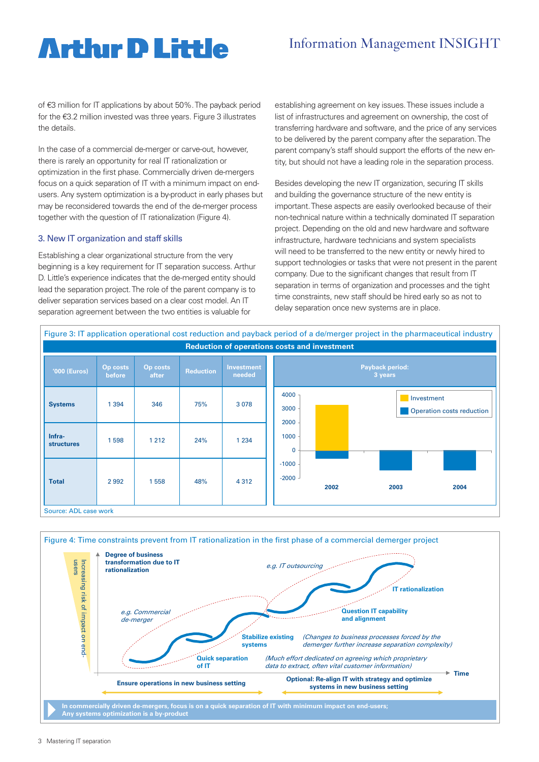## **Arthır D Little**

### Information Management INSIGHT

of €3 million for IT applications by about 50%. The payback period for the €3.2 million invested was three years. Figure 3 illustrates the details.

In the case of a commercial de-merger or carve-out, however, there is rarely an opportunity for real IT rationalization or optimization in the first phase. Commercially driven de-mergers focus on a quick separation of IT with a minimum impact on endusers. Any system optimization is a by-product in early phases but may be reconsidered towards the end of the de-merger process together with the question of IT rationalization (Figure 4).

#### 3. New IT organization and staff skills

Establishing a clear organizational structure from the very **Fig3** beginning is a key requirement for IT separation success. Arthur D. Little's experience indicates that the de-merged entity should lead the separation project. The role of the parent company is to deliver separation services based on a clear cost model. An IT separation agreement between the two entities is valuable for

establishing agreement on key issues. These issues include a list of infrastructures and agreement on ownership, the cost of transferring hardware and software, and the price of any services to be delivered by the parent company after the separation. The parent company's staff should support the efforts of the new entity, but should not have a leading role in the separation process.

Besides developing the new IT organization, securing IT skills and building the governance structure of the new entity is important. These aspects are easily overlooked because of their non-technical nature within a technically dominated IT separation project. Depending on the old and new hardware and software infrastructure, hardware technicians and system specialists will need to be transferred to the new entity or newly hired to support technologies or tasks that were not present in the parent company. Due to the significant changes that result from IT separation in terms of organization and processes and the tight time constraints, new staff should be hired early so as not to delay separation once new systems are in place.

![](_page_2_Figure_8.jpeg)

![](_page_2_Figure_9.jpeg)